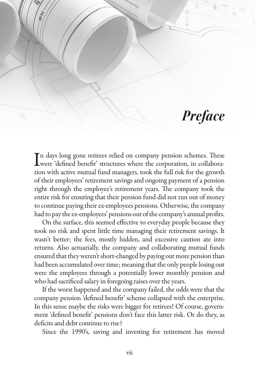## *Preface*

 $\prod$ n days long gone retirees relied on company pension schemes. These<br>were 'defined benefit' structures where the corporation, in collaborawere 'defined benefit' structures where the corporation, in collaboration with active mutual fund managers, took the full risk for the growth of their employees' retirement savings and ongoing payment of a pension right through the employee's retirement years. The company took the entire risk for ensuring that their pension fund did not run out of money to continue paying their ex-employees pensions. Otherwise, the company had to pay the ex-employees' pensions out of the company's annual profits.

On the surface, this seemed effective to everyday people because they took no risk and spent little time managing their retirement savings. It wasn't better; the fees, mostly hidden, and excessive caution ate into returns. Also actuarially, the company and collaborating mutual funds ensured that they weren't short-changed by paying out more pension than had been accumulated over time; meaning that the only people losing out were the employees through a potentially lower monthly pension and who had sacrificed salary in foregoing raises over the years.

If the worst happened and the company failed, the odds were that the company pension 'defined benefit' scheme collapsed with the enterprise. In this sense maybe the risks were bigger for retirees! Of course, government 'defined benefit' pensions don't face this latter risk. Or do they, as deficits and debt continue to rise?

Since the 1990's, saving and investing for retirement has moved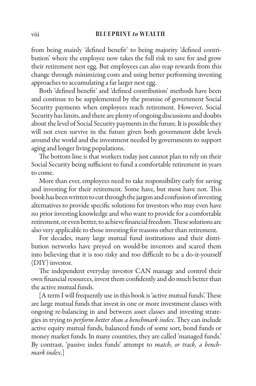## viii **BLUEPRINT** *to* **WEALTH**

from being mainly 'defined benefit' to being majority 'defined contribution' where the employee now takes the full risk to save for and grow their retirement nest egg. But employees can also reap rewards from this change through minimizing costs and using better performing investing approaches to accumulating a far larger nest egg.

Both 'defined benefit' and 'defined contribution' methods have been and continue to be supplemented by the promise of government Social Security payments when employees reach retirement. However, Social Security has limits, and there are plenty of ongoing discussions and doubts about the level of Social Security payments in the future. It is possible they will not even survive in the future given both government debt levels around the world and the investment needed by governments to support aging and longer living populations.

The bottom line is that workers today just cannot plan to rely on their Social Security being sufficient to fund a comfortable retirement in years to come.

More than ever, employees need to take responsibility early for saving and investing for their retirement. Some have, but most have not. This book has been written to cut through the jargon and confusion of investing alternatives to provide specific solutions for investors who may even have no prior investing knowledge and who want to provide for a comfortable retirement, or even better, to achieve financial freedom. These solutions are also very applicable to those investing for reasons other than retirement.

For decades, many large mutual fund institutions and their distribution networks have preyed on would-be investors and scared them into believing that it is too risky and too difficult to be a do-it-yourself (DIY) investor.

The independent everyday investor CAN manage and control their own financial resources, invest them confidently and do much better than the active mutual funds.

 $[A$  term I will frequently use in this book is 'active mutual funds'. These are large mutual funds that invest in one or more investment classes with ongoing re-balancing in and between asset classes and investing strategies in trying to *perform better than a benchmark index*. They can include active equity mutual funds, balanced funds of some sort, bond funds or money market funds. In many countries, they are called 'managed funds.' By contrast, 'passive index funds' attempt to *match, or track, a benchmark index*.]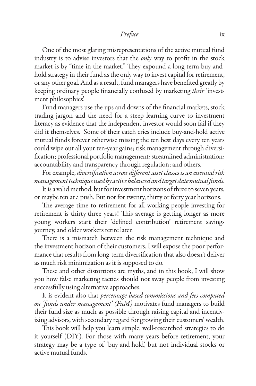One of the most glaring misrepresentations of the active mutual fund industry is to advise investors that the *only* way to profit in the stock market is by "time in the market." They expound a long-term buy-andhold strategy in their fund as the only way to invest capital for retirement, or any other goal. And as a result, fund managers have benefited greatly by keeping ordinary people financially confused by marketing *their* 'investment philosophies'.

Fund managers use the ups and downs of the financial markets, stock trading jargon and the need for a steep learning curve to investment literacy as evidence that the independent investor would soon fail if they did it themselves. Some of their catch cries include buy-and-hold active mutual funds forever otherwise missing the ten best days every ten years could wipe out all your ten-year gains; risk management through diversi fication; professional portfolio management; streamlined administration; accountability and transparency through regulation; and others.

For example, *diversification across different asset classes is an essential risk management technique used by active balanced and target date mutual funds*.

It is a valid method, but for investment horizons of three to seven years, or maybe ten at a push. But not for twenty, thirty or forty year horizons.

The average time to retirement for all working people investing for retirement is thirty-three years! This average is getting longer as more young workers start their 'defined contribution' retirement savings journey, and older workers retire later.

There is a mismatch between the risk management technique and the investment horizon of their customers. I will expose the poor performance that results from long-term diversification that also doesn't deliver as much risk minimization as it is supposed to do.

These and other distortions are myths, and in this book, I will show you how false marketing tactics should not sway people from investing successfully using alternative approaches.

It is evident also that *percentage based commissions and fees computed on 'funds under management' (FuM)* motivates fund managers to build their fund size as much as possible through raising capital and incentivizing advisors, with secondary regard for growing their customers' wealth.

This book will help you learn simple, well-researched strategies to do it yourself (DIY). For those with many years before retirement, your strategy may be a type of 'buy-and-hold', but not individual stocks or active mutual funds.